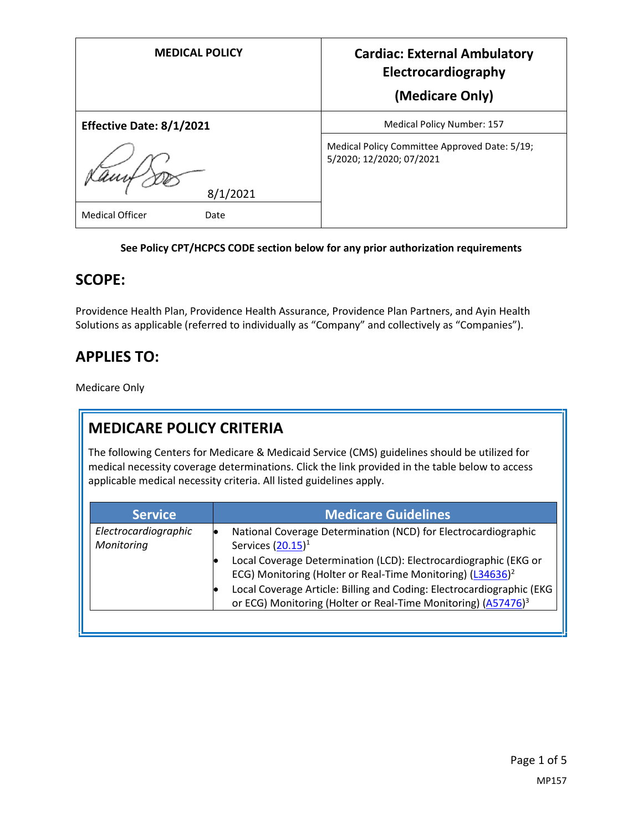| <b>MEDICAL POLICY</b>          | <b>Cardiac: External Ambulatory</b><br>Electrocardiography<br>(Medicare Only) |
|--------------------------------|-------------------------------------------------------------------------------|
| Effective Date: 8/1/2021       | Medical Policy Number: 157                                                    |
| 8/1/2021                       | Medical Policy Committee Approved Date: 5/19;<br>5/2020; 12/2020; 07/2021     |
| <b>Medical Officer</b><br>Date |                                                                               |

#### **See Policy CPT/HCPCS CODE section below for any prior authorization requirements**

#### **SCOPE:**

Providence Health Plan, Providence Health Assurance, Providence Plan Partners, and Ayin Health Solutions as applicable (referred to individually as "Company" and collectively as "Companies").

### **APPLIES TO:**

Medicare Only

# **MEDICARE POLICY CRITERIA**

The following Centers for Medicare & Medicaid Service (CMS) guidelines should be utilized for medical necessity coverage determinations. Click the link provided in the table below to access applicable medical necessity criteria. All listed guidelines apply.

| <b>Service</b>                     | <b>Medicare Guidelines</b>                                                                                                                                                                                                                                                                                                                                                                 |
|------------------------------------|--------------------------------------------------------------------------------------------------------------------------------------------------------------------------------------------------------------------------------------------------------------------------------------------------------------------------------------------------------------------------------------------|
| Electrocardiographic<br>Monitoring | National Coverage Determination (NCD) for Electrocardiographic<br>Services $(20.15)^1$<br>Local Coverage Determination (LCD): Electrocardiographic (EKG or<br>ECG) Monitoring (Holter or Real-Time Monitoring) (L34636) <sup>2</sup><br>Local Coverage Article: Billing and Coding: Electrocardiographic (EKG<br>or ECG) Monitoring (Holter or Real-Time Monitoring) (A57476) <sup>3</sup> |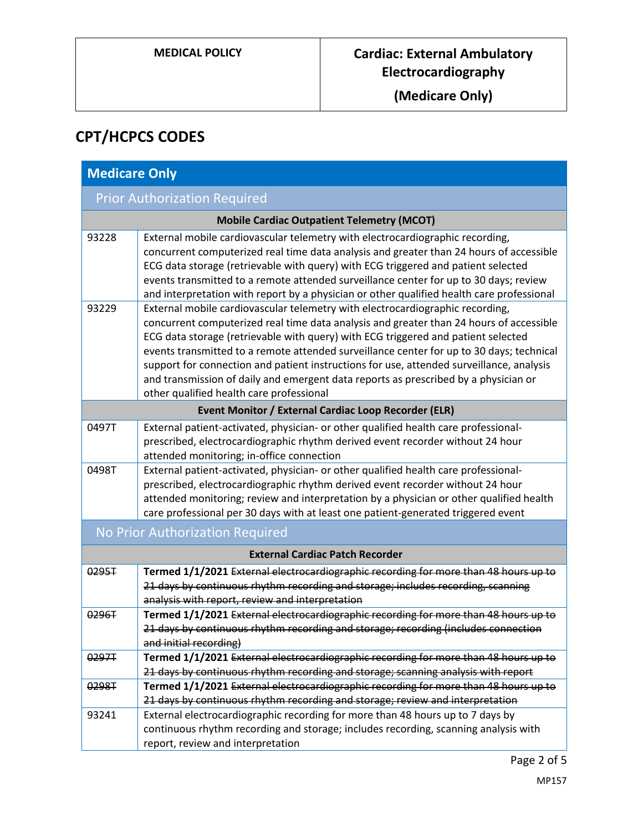**(Medicare Only)**

# **CPT/HCPCS CODES**

| <b>Medicare Only</b>                   |                                                                                                                                                                                                                                                                                                                                                                                                                                                                                                                                                                                          |  |
|----------------------------------------|------------------------------------------------------------------------------------------------------------------------------------------------------------------------------------------------------------------------------------------------------------------------------------------------------------------------------------------------------------------------------------------------------------------------------------------------------------------------------------------------------------------------------------------------------------------------------------------|--|
| <b>Prior Authorization Required</b>    |                                                                                                                                                                                                                                                                                                                                                                                                                                                                                                                                                                                          |  |
|                                        | <b>Mobile Cardiac Outpatient Telemetry (MCOT)</b>                                                                                                                                                                                                                                                                                                                                                                                                                                                                                                                                        |  |
| 93228                                  | External mobile cardiovascular telemetry with electrocardiographic recording,<br>concurrent computerized real time data analysis and greater than 24 hours of accessible<br>ECG data storage (retrievable with query) with ECG triggered and patient selected<br>events transmitted to a remote attended surveillance center for up to 30 days; review<br>and interpretation with report by a physician or other qualified health care professional                                                                                                                                      |  |
| 93229                                  | External mobile cardiovascular telemetry with electrocardiographic recording,<br>concurrent computerized real time data analysis and greater than 24 hours of accessible<br>ECG data storage (retrievable with query) with ECG triggered and patient selected<br>events transmitted to a remote attended surveillance center for up to 30 days; technical<br>support for connection and patient instructions for use, attended surveillance, analysis<br>and transmission of daily and emergent data reports as prescribed by a physician or<br>other qualified health care professional |  |
|                                        | Event Monitor / External Cardiac Loop Recorder (ELR)                                                                                                                                                                                                                                                                                                                                                                                                                                                                                                                                     |  |
| 0497T                                  | External patient-activated, physician- or other qualified health care professional-<br>prescribed, electrocardiographic rhythm derived event recorder without 24 hour<br>attended monitoring; in-office connection                                                                                                                                                                                                                                                                                                                                                                       |  |
| 0498T                                  | External patient-activated, physician- or other qualified health care professional-<br>prescribed, electrocardiographic rhythm derived event recorder without 24 hour<br>attended monitoring; review and interpretation by a physician or other qualified health<br>care professional per 30 days with at least one patient-generated triggered event                                                                                                                                                                                                                                    |  |
| No Prior Authorization Required        |                                                                                                                                                                                                                                                                                                                                                                                                                                                                                                                                                                                          |  |
| <b>External Cardiac Patch Recorder</b> |                                                                                                                                                                                                                                                                                                                                                                                                                                                                                                                                                                                          |  |
| 0295T                                  | Termed 1/1/2021 External electrocardiographic recording for more than 48 hours up to<br>21 days by continuous rhythm recording and storage; includes recording, scanning<br>analysis with report, review and interpretation                                                                                                                                                                                                                                                                                                                                                              |  |
| 0296T                                  | Termed 1/1/2021 External electrocardiographic recording for more than 48 hours up to<br>21 days by continuous rhythm recording and storage; recording (includes connection<br>and initial recording)                                                                                                                                                                                                                                                                                                                                                                                     |  |
| 0297T                                  | Termed 1/1/2021 External electrocardiographic recording for more than 48 hours up to<br>21 days by continuous rhythm recording and storage; scanning analysis with report                                                                                                                                                                                                                                                                                                                                                                                                                |  |
| 0298T                                  | Termed 1/1/2021 External electrocardiographic recording for more than 48 hours up to<br>21 days by continuous rhythm recording and storage; review and interpretation                                                                                                                                                                                                                                                                                                                                                                                                                    |  |
| 93241                                  | External electrocardiographic recording for more than 48 hours up to 7 days by<br>continuous rhythm recording and storage; includes recording, scanning analysis with<br>report, review and interpretation                                                                                                                                                                                                                                                                                                                                                                               |  |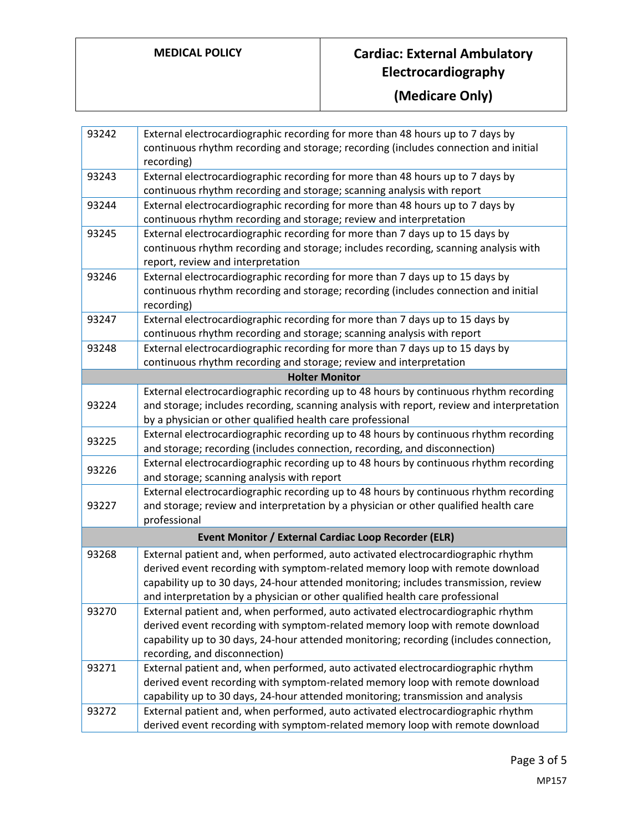## **MEDICAL POLICY Cardiac: External Ambulatory Electrocardiography**

**(Medicare Only)**

| 93242                                                | External electrocardiographic recording for more than 48 hours up to 7 days by                       |  |
|------------------------------------------------------|------------------------------------------------------------------------------------------------------|--|
|                                                      | continuous rhythm recording and storage; recording (includes connection and initial                  |  |
|                                                      | recording)                                                                                           |  |
| 93243                                                | External electrocardiographic recording for more than 48 hours up to 7 days by                       |  |
|                                                      | continuous rhythm recording and storage; scanning analysis with report                               |  |
| 93244                                                | External electrocardiographic recording for more than 48 hours up to 7 days by                       |  |
|                                                      | continuous rhythm recording and storage; review and interpretation                                   |  |
| 93245                                                | External electrocardiographic recording for more than 7 days up to 15 days by                        |  |
|                                                      | continuous rhythm recording and storage; includes recording, scanning analysis with                  |  |
|                                                      | report, review and interpretation                                                                    |  |
| 93246                                                | External electrocardiographic recording for more than 7 days up to 15 days by                        |  |
|                                                      | continuous rhythm recording and storage; recording (includes connection and initial                  |  |
|                                                      | recording)                                                                                           |  |
| 93247                                                | External electrocardiographic recording for more than 7 days up to 15 days by                        |  |
|                                                      | continuous rhythm recording and storage; scanning analysis with report                               |  |
| 93248                                                | External electrocardiographic recording for more than 7 days up to 15 days by                        |  |
|                                                      | continuous rhythm recording and storage; review and interpretation                                   |  |
|                                                      | <b>Holter Monitor</b>                                                                                |  |
|                                                      | External electrocardiographic recording up to 48 hours by continuous rhythm recording                |  |
| 93224                                                | and storage; includes recording, scanning analysis with report, review and interpretation            |  |
|                                                      | by a physician or other qualified health care professional                                           |  |
| 93225                                                | External electrocardiographic recording up to 48 hours by continuous rhythm recording                |  |
|                                                      | and storage; recording (includes connection, recording, and disconnection)                           |  |
| 93226                                                | External electrocardiographic recording up to 48 hours by continuous rhythm recording                |  |
|                                                      | and storage; scanning analysis with report                                                           |  |
|                                                      | External electrocardiographic recording up to 48 hours by continuous rhythm recording                |  |
| 93227                                                | and storage; review and interpretation by a physician or other qualified health care<br>professional |  |
|                                                      |                                                                                                      |  |
| Event Monitor / External Cardiac Loop Recorder (ELR) |                                                                                                      |  |
| 93268                                                | External patient and, when performed, auto activated electrocardiographic rhythm                     |  |
|                                                      | derived event recording with symptom-related memory loop with remote download                        |  |
|                                                      | capability up to 30 days, 24-hour attended monitoring; includes transmission, review                 |  |
|                                                      | and interpretation by a physician or other qualified health care professional                        |  |
| 93270                                                | External patient and, when performed, auto activated electrocardiographic rhythm                     |  |
|                                                      | derived event recording with symptom-related memory loop with remote download                        |  |
|                                                      | capability up to 30 days, 24-hour attended monitoring; recording (includes connection,               |  |
|                                                      | recording, and disconnection)                                                                        |  |
| 93271                                                | External patient and, when performed, auto activated electrocardiographic rhythm                     |  |
|                                                      | derived event recording with symptom-related memory loop with remote download                        |  |
|                                                      | capability up to 30 days, 24-hour attended monitoring; transmission and analysis                     |  |
| 93272                                                | External patient and, when performed, auto activated electrocardiographic rhythm                     |  |
|                                                      | derived event recording with symptom-related memory loop with remote download                        |  |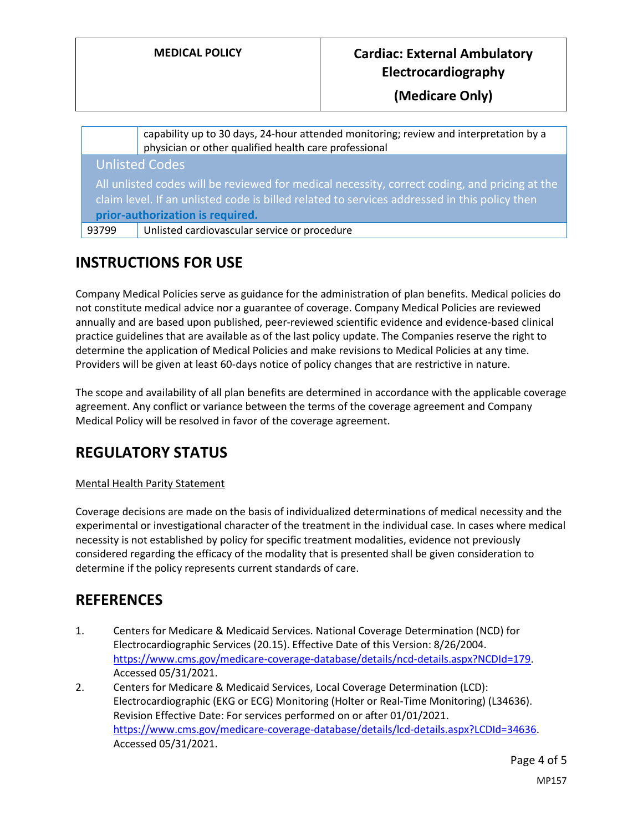### **MEDICAL POLICY Cardiac: External Ambulatory Electrocardiography**

**(Medicare Only)**

|                                                                                                                                                                                               | capability up to 30 days, 24-hour attended monitoring; review and interpretation by a physician or other qualified health care professional |
|-----------------------------------------------------------------------------------------------------------------------------------------------------------------------------------------------|---------------------------------------------------------------------------------------------------------------------------------------------|
|                                                                                                                                                                                               | <b>Unlisted Codes</b>                                                                                                                       |
| All unlisted codes will be reviewed for medical necessity, correct coding, and pricing at the<br>claim level. If an unlisted code is billed related to services addressed in this policy then |                                                                                                                                             |
| prior-authorization is required.                                                                                                                                                              |                                                                                                                                             |
| 93799                                                                                                                                                                                         | Unlisted cardiovascular service or procedure                                                                                                |
|                                                                                                                                                                                               |                                                                                                                                             |

## **INSTRUCTIONS FOR USE**

Company Medical Policies serve as guidance for the administration of plan benefits. Medical policies do not constitute medical advice nor a guarantee of coverage. Company Medical Policies are reviewed annually and are based upon published, peer-reviewed scientific evidence and evidence-based clinical practice guidelines that are available as of the last policy update. The Companies reserve the right to determine the application of Medical Policies and make revisions to Medical Policies at any time. Providers will be given at least 60-days notice of policy changes that are restrictive in nature.

The scope and availability of all plan benefits are determined in accordance with the applicable coverage agreement. Any conflict or variance between the terms of the coverage agreement and Company Medical Policy will be resolved in favor of the coverage agreement.

## **REGULATORY STATUS**

#### Mental Health Parity Statement

Coverage decisions are made on the basis of individualized determinations of medical necessity and the experimental or investigational character of the treatment in the individual case. In cases where medical necessity is not established by policy for specific treatment modalities, evidence not previously considered regarding the efficacy of the modality that is presented shall be given consideration to determine if the policy represents current standards of care.

### **REFERENCES**

- 1. Centers for Medicare & Medicaid Services. National Coverage Determination (NCD) for Electrocardiographic Services (20.15). Effective Date of this Version: 8/26/2004. [https://www.cms.gov/medicare-coverage-database/details/ncd-details.aspx?NCDId=179.](https://www.cms.gov/medicare-coverage-database/details/ncd-details.aspx?NCDId=179) Accessed 05/31/2021.
- 2. Centers for Medicare & Medicaid Services, Local Coverage Determination (LCD): Electrocardiographic (EKG or ECG) Monitoring (Holter or Real-Time Monitoring) (L34636). Revision Effective Date: For services performed on or after 01/01/2021. [https://www.cms.gov/medicare-coverage-database/details/lcd-details.aspx?LCDId=34636.](https://www.cms.gov/medicare-coverage-database/details/lcd-details.aspx?LCDId=34636) Accessed 05/31/2021.